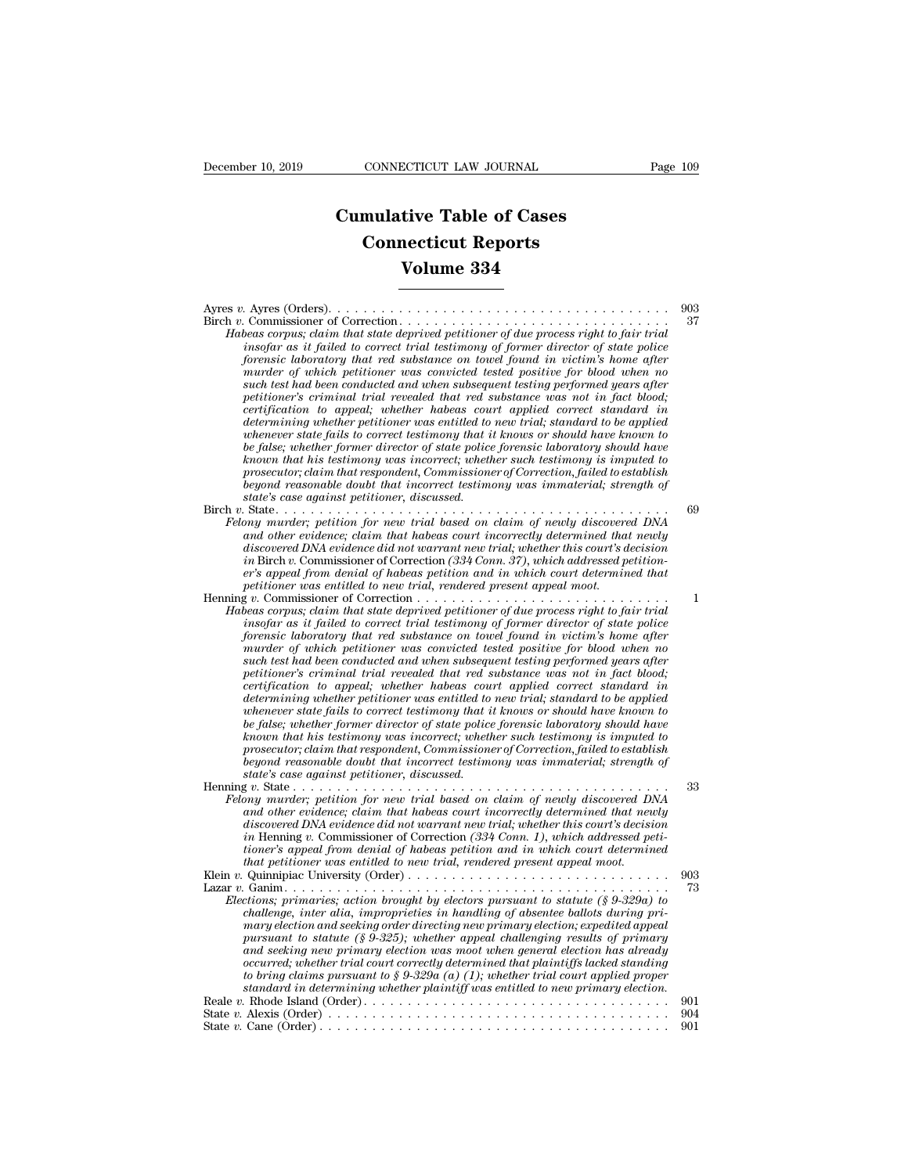## **CONNECTICUT LAW JOURNAL**<br> **Cumulative Table of Cases<br>
Connecticut Reports CONNECTICUT LAW JOURNAL**<br> **CONNECTICUT LAW JOURNAL**<br> **CONNECTICUT Reports**<br> **CONNECTICUT Reports**<br> **CONNECTIC REPORTS ECTICUT LAW JOURNAL**<br> **Vive Table of Cases<br>
Recticut Reports<br>
Volume 334**

| .                                                                                                                                                                                                                                                                                                                                                                                                                                                                                                                                                                                                                                                                                                                                                                                                                                                                                                                                                                                                                                                                                                                                                            |                  |
|--------------------------------------------------------------------------------------------------------------------------------------------------------------------------------------------------------------------------------------------------------------------------------------------------------------------------------------------------------------------------------------------------------------------------------------------------------------------------------------------------------------------------------------------------------------------------------------------------------------------------------------------------------------------------------------------------------------------------------------------------------------------------------------------------------------------------------------------------------------------------------------------------------------------------------------------------------------------------------------------------------------------------------------------------------------------------------------------------------------------------------------------------------------|------------------|
| <b>Connecticut Reports</b>                                                                                                                                                                                                                                                                                                                                                                                                                                                                                                                                                                                                                                                                                                                                                                                                                                                                                                                                                                                                                                                                                                                                   |                  |
| Volume 334                                                                                                                                                                                                                                                                                                                                                                                                                                                                                                                                                                                                                                                                                                                                                                                                                                                                                                                                                                                                                                                                                                                                                   |                  |
|                                                                                                                                                                                                                                                                                                                                                                                                                                                                                                                                                                                                                                                                                                                                                                                                                                                                                                                                                                                                                                                                                                                                                              |                  |
| Habeas corpus; claim that state deprived petitioner of due process right to fair trial<br>insofar as it failed to correct trial testimony of former director of state police<br>forensic laboratory that red substance on towel found in victim's home after<br>murder of which petitioner was convicted tested positive for blood when no<br>such test had been conducted and when subsequent testing performed years after<br>petitioner's criminal trial revealed that red substance was not in fact blood;<br>certification to appeal; whether habeas court applied correct standard in<br>determining whether petitioner was entitled to new trial; standard to be applied<br>whenever state fails to correct testimony that it knows or should have known to<br>be false; whether former director of state police forensic laboratory should have<br>known that his testimony was incorrect; whether such testimony is imputed to<br>prosecutor; claim that respondent, Commissioner of Correction, failed to establish<br>beyond reasonable doubt that incorrect testimony was immaterial; strength of<br>state's case against petitioner, discussed. | 903<br>37        |
| Felony murder; petition for new trial based on claim of newly discovered DNA<br>and other evidence; claim that habeas court incorrectly determined that newly<br>discovered DNA evidence did not warrant new trial; whether this court's decision<br>in Birch v. Commissioner of Correction $(334 \text{ Com } 27)$ , which addressed petition-<br>er's appeal from denial of habeas petition and in which court determined that<br>petitioner was entitled to new trial, rendered present appeal moot.                                                                                                                                                                                                                                                                                                                                                                                                                                                                                                                                                                                                                                                      | 69               |
| Habeas corpus; claim that state deprived petitioner of due process right to fair trial<br>insofar as it failed to correct trial testimony of former director of state police<br>forensic laboratory that red substance on towel found in victim's home after<br>murder of which petitioner was convicted tested positive for blood when no<br>such test had been conducted and when subsequent testing performed years after<br>petitioner's criminal trial revealed that red substance was not in fact blood;<br>certification to appeal; whether habeas court applied correct standard in<br>determining whether petitioner was entitled to new trial; standard to be applied<br>whenever state fails to correct testimony that it knows or should have known to<br>be false; whether former director of state police forensic laboratory should have<br>known that his testimony was incorrect; whether such testimony is imputed to<br>prosecutor; claim that respondent, Commissioner of Correction, failed to establish<br>beyond reasonable doubt that incorrect testimony was immaterial; strength of<br>state's case against petitioner, discussed. | 1                |
| Felony murder; petition for new trial based on claim of newly discovered DNA<br>and other evidence; claim that habeas court incorrectly determined that newly<br>discovered DNA evidence did not warrant new trial; whether this court's decision<br>in Henning v. Commissioner of Correction $(334 \text{ C} \text{om. } 1)$ , which addressed peti-<br>tioner's appeal from denial of habeas petition and in which court determined<br>that petitioner was entitled to new trial, rendered present appeal moot.                                                                                                                                                                                                                                                                                                                                                                                                                                                                                                                                                                                                                                            | 33               |
| Elections; primaries; action brought by electors pursuant to statute $(\S 9\text{-}329a)$ to<br>challenge, inter alia, improprieties in handling of absentee ballots during pri-<br>mary election and seeking order directing new primary election; expedited appeal<br>pursuant to statute $(\xi 9{\text -}325)$ ; whether appeal challenging results of primary<br>and seeking new primary election was moot when general election has already<br>occurred; whether trial court correctly determined that plaintiffs lacked standing<br>to bring claims pursuant to § 9-329a (a) (1); whether trial court applied proper<br>standard in determining whether plaintiff was entitled to new primary election.                                                                                                                                                                                                                                                                                                                                                                                                                                                | 903<br>73<br>901 |
|                                                                                                                                                                                                                                                                                                                                                                                                                                                                                                                                                                                                                                                                                                                                                                                                                                                                                                                                                                                                                                                                                                                                                              | 904<br>901       |